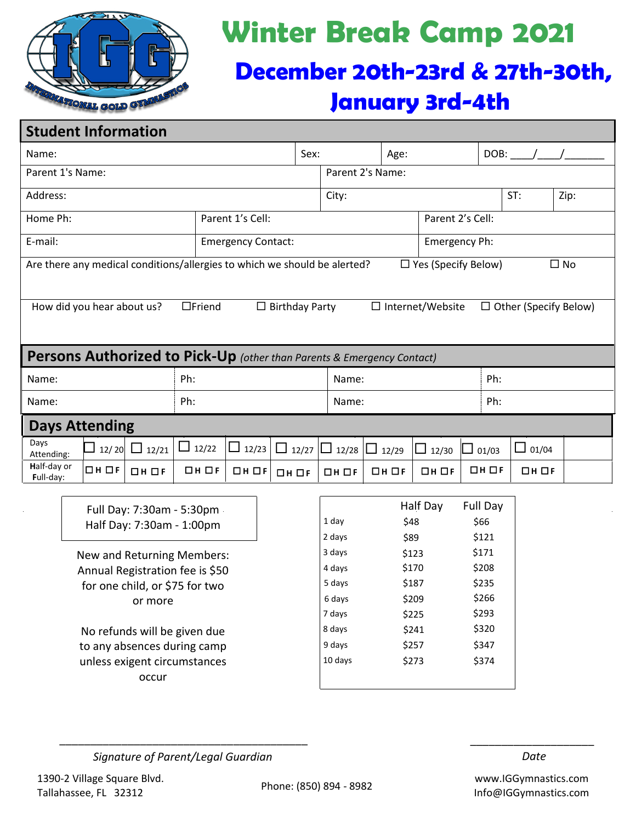

# **Winter Break Camp 2021**

## **December 20th-23rd & 27th-30th, January 3rd-4th**

## **Student Information**

| Sex:<br>Name:                                                                 |       |                                                                                  |              |                           |                   |                  | Age:                                    |               |                  |                  |                   | $DOB:$ / |  |
|-------------------------------------------------------------------------------|-------|----------------------------------------------------------------------------------|--------------|---------------------------|-------------------|------------------|-----------------------------------------|---------------|------------------|------------------|-------------------|----------|--|
| Parent 1's Name:                                                              |       |                                                                                  |              |                           |                   | Parent 2's Name: |                                         |               |                  |                  |                   |          |  |
| Address:                                                                      |       |                                                                                  |              |                           |                   |                  |                                         |               |                  |                  | ST:               | Zip:     |  |
| Home Ph:                                                                      |       |                                                                                  |              | Parent 1's Cell:          |                   |                  |                                         |               |                  | Parent 2's Cell: |                   |          |  |
| E-mail:                                                                       |       |                                                                                  |              | <b>Emergency Contact:</b> |                   |                  |                                         | Emergency Ph: |                  |                  |                   |          |  |
| Are there any medical conditions/allergies to which we should be alerted?     |       |                                                                                  |              |                           |                   |                  | $\Box$ Yes (Specify Below)<br>$\Box$ No |               |                  |                  |                   |          |  |
|                                                                               |       |                                                                                  |              |                           |                   |                  |                                         |               |                  |                  |                   |          |  |
| How did you hear about us?                                                    |       | $\Box$ Birthday Party<br>$\Box$ Internet/Website<br>$\Box$ Other (Specify Below) |              |                           |                   |                  |                                         |               |                  |                  |                   |          |  |
|                                                                               |       |                                                                                  |              |                           |                   |                  |                                         |               |                  |                  |                   |          |  |
| <b>Persons Authorized to Pick-Up</b> (other than Parents & Emergency Contact) |       |                                                                                  |              |                           |                   |                  |                                         |               |                  |                  |                   |          |  |
| Ph:<br>Name:                                                                  |       |                                                                                  |              |                           |                   |                  | Name:                                   |               | Ph:              |                  |                   |          |  |
| Name:                                                                         |       |                                                                                  | Ph:          |                           |                   |                  | Name:                                   |               |                  | Ph:              |                   |          |  |
|                                                                               |       |                                                                                  |              |                           |                   |                  |                                         |               |                  |                  |                   |          |  |
| <b>Days Attending</b>                                                         |       |                                                                                  |              |                           |                   |                  |                                         |               |                  |                  |                   |          |  |
| Days<br>Attending:                                                            |       | $12/20$ 12/21                                                                    | $\Box$ 12/22 | $\Box$ 12/23              | $\Box$ 12/27      | $\Box$ 12/28     | $\Box$ 12/29                            | $\Box$ 12/30  |                  | 01/03            | $\Box$ 01/04      |          |  |
| Half-day or<br>Full-day:                                                      | Он Оғ | $\Box$ H $\Box$ F                                                                | Он Оғ        | $D$ H $D$ F               | $\Box$ H $\Box$ F | $D$ H $D$ F      | $D$ H $D$ F                             | $D$ H $D$ F   |                  | ⊡н ⊟ғ            | $\Box$ H $\Box$ F |          |  |
|                                                                               |       |                                                                                  |              |                           |                   |                  |                                         | Half Day      |                  |                  |                   |          |  |
| Full Day: 7:30am - 5:30pm                                                     |       |                                                                                  |              |                           | 1 day             | \$48             |                                         |               | Full Day<br>\$66 |                  |                   |          |  |
| Half Day: 7:30am - 1:00pm                                                     |       |                                                                                  |              |                           |                   | 2 days           | \$121<br>\$89                           |               |                  |                  |                   |          |  |
| New and Returning Members:                                                    |       |                                                                                  |              |                           |                   | 3 days           | \$123                                   |               |                  | \$171            |                   |          |  |
| Annual Registration fee is \$50                                               |       |                                                                                  |              |                           |                   | 4 days           | \$170                                   |               | \$208            |                  |                   |          |  |
| for one child, or \$75 for two                                                |       |                                                                                  |              |                           |                   | 5 days           | \$187                                   |               | \$235            |                  |                   |          |  |
| or more                                                                       |       |                                                                                  |              |                           |                   | 6 days           | \$209                                   |               | \$266            |                  |                   |          |  |
|                                                                               |       |                                                                                  |              |                           |                   | 7 days           | \$225                                   |               | \$293            |                  |                   |          |  |
| No refunds will be given due                                                  |       |                                                                                  |              |                           |                   | 8 days           | \$241                                   |               | \$320            |                  |                   |          |  |
| to any absences during camp                                                   |       |                                                                                  |              |                           |                   | 9 days           | \$257<br>\$347                          |               |                  |                  |                   |          |  |
| unless exigent circumstances                                                  |       |                                                                                  |              |                           |                   | 10 days          |                                         | \$273         | \$374            |                  |                   |          |  |
| occur                                                                         |       |                                                                                  |              |                           |                   |                  |                                         |               |                  |                  |                   |          |  |

 *Signature of Parent/Legal Guardian Date* 

\_\_\_\_\_\_\_\_\_\_\_\_\_\_\_\_\_\_\_\_\_\_\_\_\_\_\_\_\_\_\_\_\_\_\_\_\_\_\_\_ \_\_\_\_\_\_\_\_\_\_\_\_\_\_\_\_\_\_\_\_